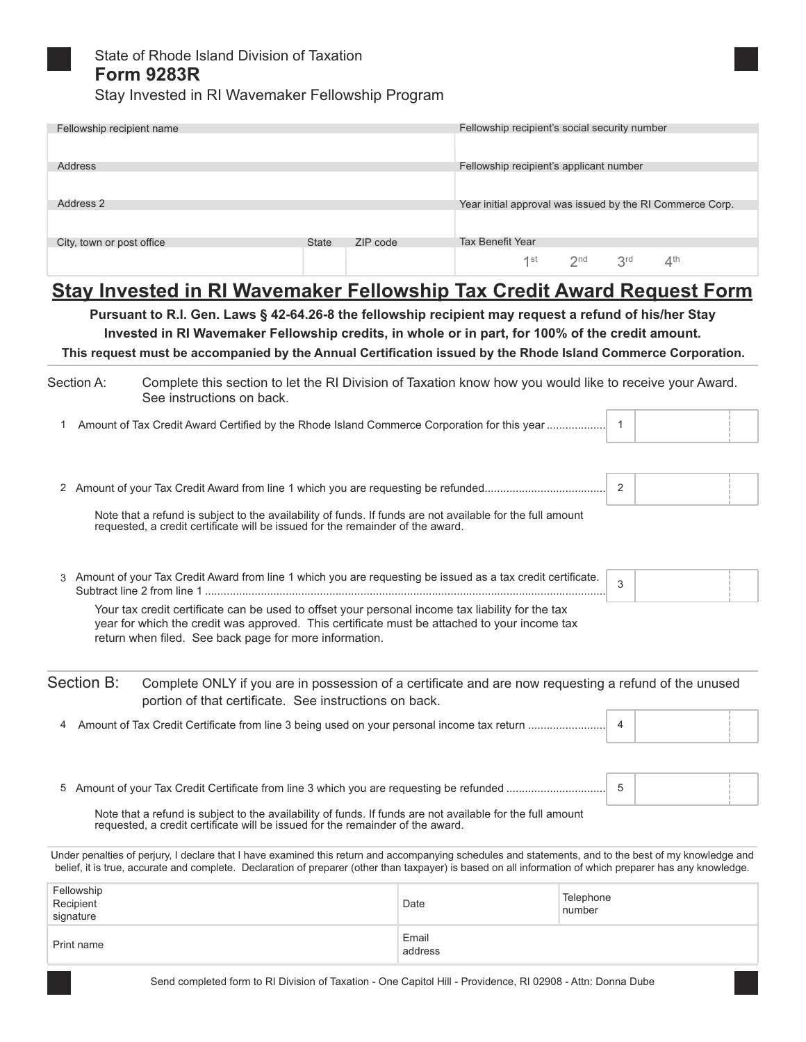

# State of Rhode Island Division of Taxation **Form 9283R**

Stay Invested in RI Wavemaker Fellowship Program

| Fellowship recipient name                                                                                                                                                                                                                                                                                                                                                                                   |              |                  | Fellowship recipient's social security number             |                     |                                |  |
|-------------------------------------------------------------------------------------------------------------------------------------------------------------------------------------------------------------------------------------------------------------------------------------------------------------------------------------------------------------------------------------------------------------|--------------|------------------|-----------------------------------------------------------|---------------------|--------------------------------|--|
| Address                                                                                                                                                                                                                                                                                                                                                                                                     |              |                  | Fellowship recipient's applicant number                   |                     |                                |  |
| Address 2                                                                                                                                                                                                                                                                                                                                                                                                   |              |                  | Year initial approval was issued by the RI Commerce Corp. |                     |                                |  |
| City, town or post office                                                                                                                                                                                                                                                                                                                                                                                   | <b>State</b> | ZIP code         | <b>Tax Benefit Year</b><br>1 <sup>st</sup>                | 2 <sub>nd</sub>     | 3 <sup>rd</sup><br>$\Delta$ th |  |
| <b>Stay Invested in RI Wavemaker Fellowship Tax Credit Award Request Form</b><br>Pursuant to R.I. Gen. Laws § 42-64.26-8 the fellowship recipient may request a refund of his/her Stay<br>Invested in RI Wavemaker Fellowship credits, in whole or in part, for 100% of the credit amount.<br>This request must be accompanied by the Annual Certification issued by the Rhode Island Commerce Corporation. |              |                  |                                                           |                     |                                |  |
| Section A:<br>Complete this section to let the RI Division of Taxation know how you would like to receive your Award.<br>See instructions on back.                                                                                                                                                                                                                                                          |              |                  |                                                           |                     |                                |  |
|                                                                                                                                                                                                                                                                                                                                                                                                             |              |                  |                                                           |                     |                                |  |
|                                                                                                                                                                                                                                                                                                                                                                                                             |              |                  |                                                           | 2                   |                                |  |
| Note that a refund is subject to the availability of funds. If funds are not available for the full amount<br>requested, a credit certificate will be issued for the remainder of the award.                                                                                                                                                                                                                |              |                  |                                                           |                     |                                |  |
| 3 Amount of your Tax Credit Award from line 1 which you are requesting be issued as a tax credit certificate.                                                                                                                                                                                                                                                                                               |              |                  |                                                           | 3                   |                                |  |
| Your tax credit certificate can be used to offset your personal income tax liability for the tax<br>year for which the credit was approved. This certificate must be attached to your income tax<br>return when filed. See back page for more information.                                                                                                                                                  |              |                  |                                                           |                     |                                |  |
| Section B:<br>Complete ONLY if you are in possession of a certificate and are now requesting a refund of the unused<br>portion of that certificate. See instructions on back.                                                                                                                                                                                                                               |              |                  |                                                           |                     |                                |  |
| Amount of Tax Credit Certificate from line 3 being used on your personal income tax return<br>4                                                                                                                                                                                                                                                                                                             |              |                  |                                                           | 4                   |                                |  |
| 5                                                                                                                                                                                                                                                                                                                                                                                                           |              |                  |                                                           | -5                  |                                |  |
| Note that a refund is subject to the availability of funds. If funds are not available for the full amount<br>requested, a credit certificate will be issued for the remainder of the award.                                                                                                                                                                                                                |              |                  |                                                           |                     |                                |  |
| Under penalties of perjury, I declare that I have examined this return and accompanying schedules and statements, and to the best of my knowledge and<br>belief, it is true, accurate and complete. Declaration of preparer (other than taxpayer) is based on all information of which preparer has any knowledge.                                                                                          |              |                  |                                                           |                     |                                |  |
| Fellowship<br>Recipient<br>signature                                                                                                                                                                                                                                                                                                                                                                        |              | Date             |                                                           | Telephone<br>number |                                |  |
| Print name                                                                                                                                                                                                                                                                                                                                                                                                  |              | Email<br>address |                                                           |                     |                                |  |